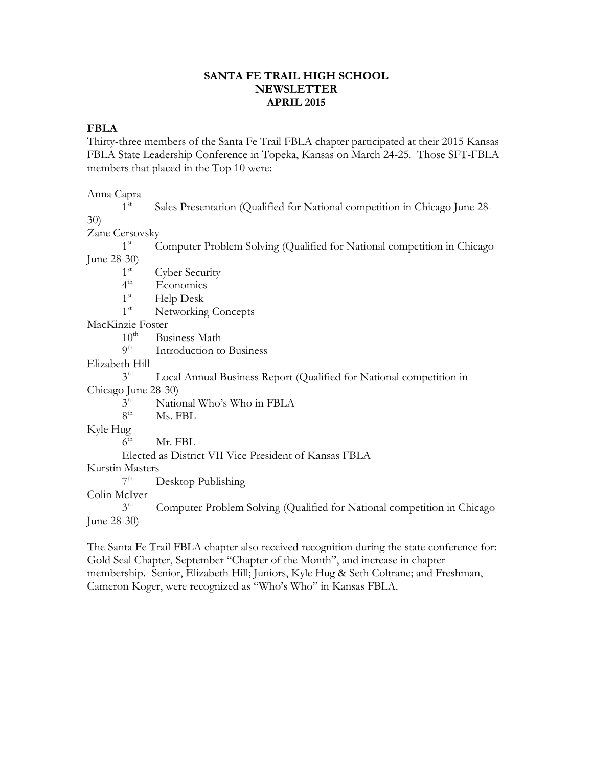#### **SANTA FE TRAIL HIGH SCHOOL NEWSLETTER APRIL 2015**

# **FBLA**

Thirty-three members of the Santa Fe Trail FBLA chapter participated at their 2015 Kansas FBLA State Leadership Conference in Topeka, Kansas on March 24-25. Those SFT-FBLA members that placed in the Top 10 were:

Anna Capra

 $1^{\rm st}$  Sales Presentation (Qualified for National competition in Chicago June 28- 30)

Zane Cersovsky

 $1<sup>st</sup>$  Computer Problem Solving (Qualified for National competition in Chicago June 28-30)

Cyber Security

- $1<sup>st</sup>$ <br>4<sup>th</sup> Economics
- $1^{\rm st}$ Help Desk

1<sup>st</sup> Networking Concepts

MacKinzie Foster<br>10<sup>th</sup> Bu

 $10^{th}$  Business Math<br> $9^{th}$  Introduction to

Introduction to Business

Elizabeth Hill

 $3<sup>rd</sup>$  Local Annual Business Report (Qualified for National competition in

Chicago June 28-30)

 $3<sup>rd</sup>$  National Who's Who in FBLA<br> $8<sup>th</sup>$  Ms. FBL

Ms. FBL

Kyle Hug

 $6<sup>th</sup>$  Mr. FBL

Elected as District VII Vice President of Kansas FBLA

Kurstin Masters

7<sup>th</sup> Desktop Publishing

Colin McIver

Computer Problem Solving (Qualified for National competition in Chicago June 28-30)

The Santa Fe Trail FBLA chapter also received recognition during the state conference for: Gold Seal Chapter, September "Chapter of the Month", and increase in chapter membership. Senior, Elizabeth Hill; Juniors, Kyle Hug & Seth Coltrane; and Freshman, Cameron Koger, were recognized as "Who's Who" in Kansas FBLA.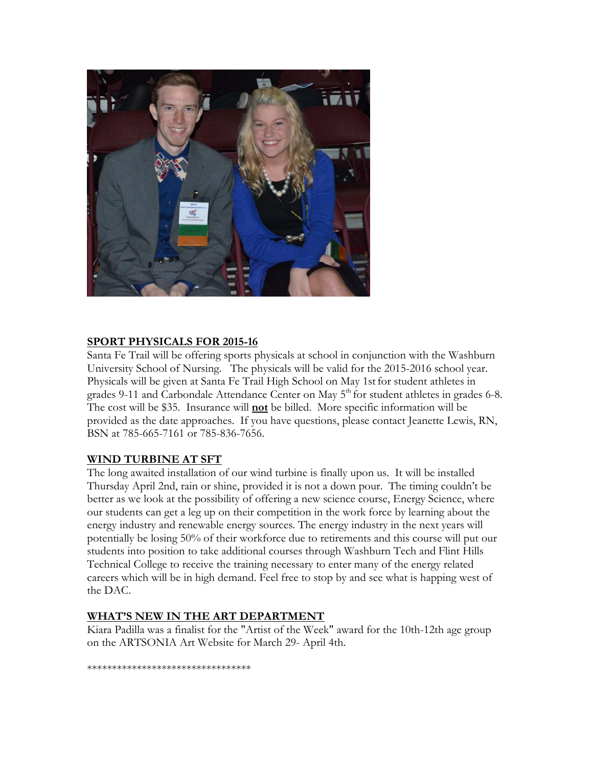

## **SPORT PHYSICALS FOR 2015-16**

Santa Fe Trail will be offering sports physicals at school in conjunction with the Washburn University School of Nursing. The physicals will be valid for the 2015-2016 school year. Physicals will be given at Santa Fe Trail High School on May 1st for student athletes in grades 9-11 and Carbondale Attendance Center on May 5<sup>th</sup> for student athletes in grades 6-8. The cost will be \$35. Insurance will **not** be billed. More specific information will be provided as the date approaches. If you have questions, please contact Jeanette Lewis, RN, BSN at 785-665-7161 or 785-836-7656.

## **WIND TURBINE AT SFT**

The long awaited installation of our wind turbine is finally upon us. It will be installed Thursday April 2nd, rain or shine, provided it is not a down pour. The timing couldn't be better as we look at the possibility of offering a new science course, Energy Science, where our students can get a leg up on their competition in the work force by learning about the energy industry and renewable energy sources. The energy industry in the next years will potentially be losing 50% of their workforce due to retirements and this course will put our students into position to take additional courses through Washburn Tech and Flint Hills Technical College to receive the training necessary to enter many of the energy related careers which will be in high demand. Feel free to stop by and see what is happing west of the DAC.

## **WHAT'S NEW IN THE ART DEPARTMENT**

Kiara Padilla was a finalist for the "Artist of the Week" award for the 10th-12th age group on the ARTSONIA Art Website for March 29- April 4th.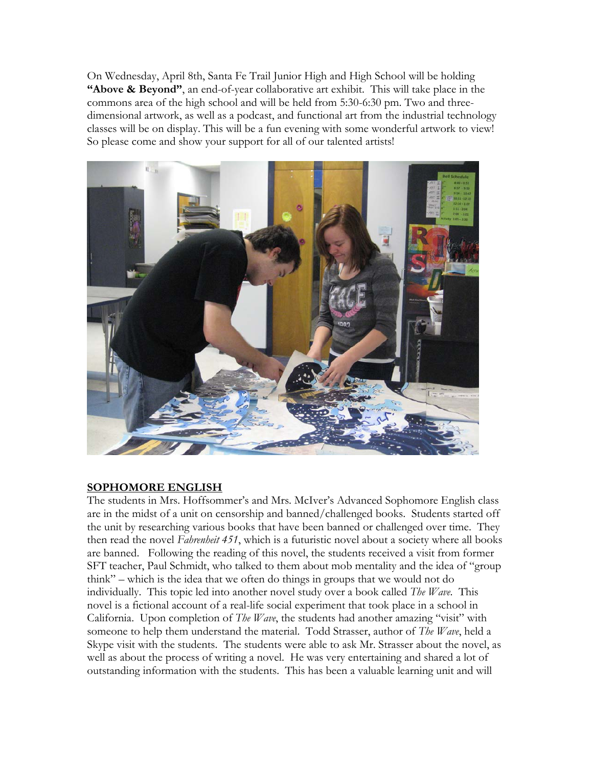On Wednesday, April 8th, Santa Fe Trail Junior High and High School will be holding **"Above & Beyond"**, an end-of-year collaborative art exhibit. This will take place in the commons area of the high school and will be held from 5:30-6:30 pm. Two and threedimensional artwork, as well as a podcast, and functional art from the industrial technology classes will be on display. This will be a fun evening with some wonderful artwork to view! So please come and show your support for all of our talented artists!



# **SOPHOMORE ENGLISH**

The students in Mrs. Hoffsommer's and Mrs. McIver's Advanced Sophomore English class are in the midst of a unit on censorship and banned/challenged books. Students started off the unit by researching various books that have been banned or challenged over time. They then read the novel *Fahrenheit 451*, which is a futuristic novel about a society where all books are banned. Following the reading of this novel, the students received a visit from former SFT teacher, Paul Schmidt, who talked to them about mob mentality and the idea of "group think" – which is the idea that we often do things in groups that we would not do individually. This topic led into another novel study over a book called *The Wave*. This novel is a fictional account of a real-life social experiment that took place in a school in California. Upon completion of *The Wave*, the students had another amazing "visit" with someone to help them understand the material. Todd Strasser, author of *The Wave*, held a Skype visit with the students. The students were able to ask Mr. Strasser about the novel, as well as about the process of writing a novel. He was very entertaining and shared a lot of outstanding information with the students. This has been a valuable learning unit and will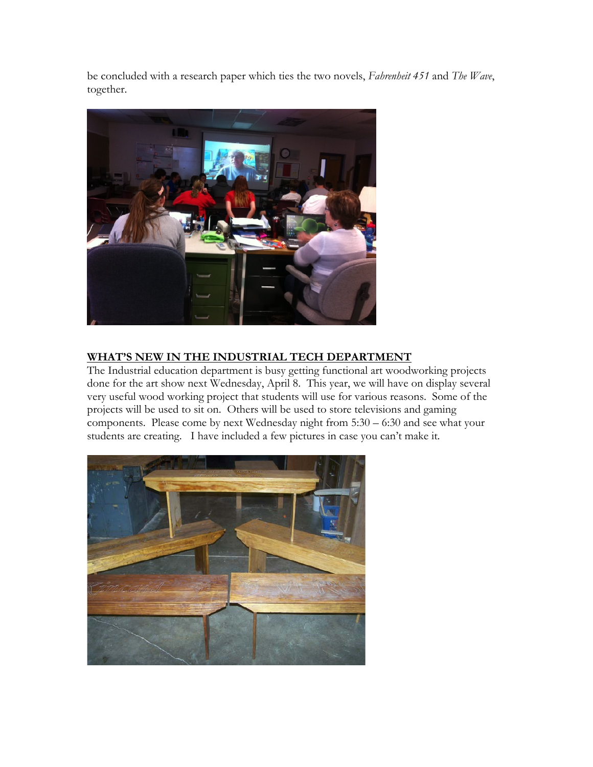be concluded with a research paper which ties the two novels, *Fahrenheit 451* and *The Wave*, together.



# **WHAT'S NEW IN THE INDUSTRIAL TECH DEPARTMENT**

The Industrial education department is busy getting functional art woodworking projects done for the art show next Wednesday, April 8. This year, we will have on display several very useful wood working project that students will use for various reasons. Some of the projects will be used to sit on. Others will be used to store televisions and gaming components. Please come by next Wednesday night from 5:30 – 6:30 and see what your students are creating. I have included a few pictures in case you can't make it.

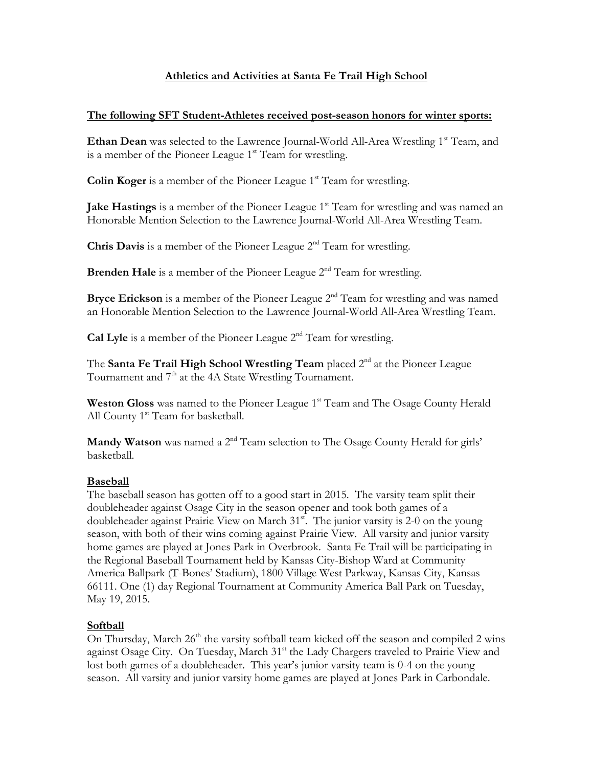# **Athletics and Activities at Santa Fe Trail High School**

#### **The following SFT Student-Athletes received post-season honors for winter sports:**

**Ethan Dean** was selected to the Lawrence Journal-World All-Area Wrestling 1<sup>st</sup> Team, and is a member of the Pioneer League  $1<sup>st</sup>$  Team for wrestling.

**Colin Koger** is a member of the Pioneer League 1<sup>st</sup> Team for wrestling.

**Jake Hastings** is a member of the Pioneer League 1<sup>st</sup> Team for wrestling and was named an Honorable Mention Selection to the Lawrence Journal-World All-Area Wrestling Team.

**Chris Davis** is a member of the Pioneer League 2<sup>nd</sup> Team for wrestling.

**Brenden Hale** is a member of the Pioneer League 2<sup>nd</sup> Team for wrestling.

**Bryce Erickson** is a member of the Pioneer League 2<sup>nd</sup> Team for wrestling and was named an Honorable Mention Selection to the Lawrence Journal-World All-Area Wrestling Team.

**Cal Lyle** is a member of the Pioneer League 2<sup>nd</sup> Team for wrestling.

The **Santa Fe Trail High School Wrestling Team** placed 2<sup>nd</sup> at the Pioneer League Tournament and 7<sup>th</sup> at the 4A State Wrestling Tournament.

**Weston Gloss** was named to the Pioneer League 1<sup>st</sup> Team and The Osage County Herald All County 1<sup>st</sup> Team for basketball.

**Mandy Watson** was named a 2<sup>nd</sup> Team selection to The Osage County Herald for girls' basketball.

## **Baseball**

The baseball season has gotten off to a good start in 2015. The varsity team split their doubleheader against Osage City in the season opener and took both games of a doubleheader against Prairie View on March  $31<sup>st</sup>$ . The junior varsity is 2-0 on the young season, with both of their wins coming against Prairie View. All varsity and junior varsity home games are played at Jones Park in Overbrook. Santa Fe Trail will be participating in the Regional Baseball Tournament held by Kansas City-Bishop Ward at Community America Ballpark (T-Bones' Stadium), 1800 Village West Parkway, Kansas City, Kansas 66111. One (1) day Regional Tournament at Community America Ball Park on Tuesday, May 19, 2015.

## **Softball**

On Thursday, March 26<sup>th</sup> the varsity softball team kicked off the season and compiled 2 wins against Osage City. On Tuesday, March 31<sup>st</sup> the Lady Chargers traveled to Prairie View and lost both games of a doubleheader. This year's junior varsity team is 0-4 on the young season. All varsity and junior varsity home games are played at Jones Park in Carbondale.